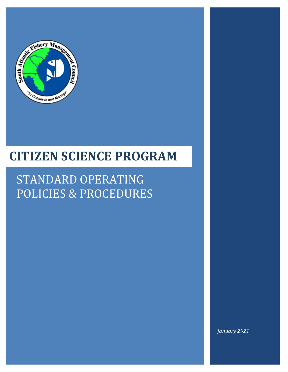

# **CITIZEN SCIENCE PROGRAM**

# STANDARD OPERATING POLICIES & PROCEDURES

*January 2021*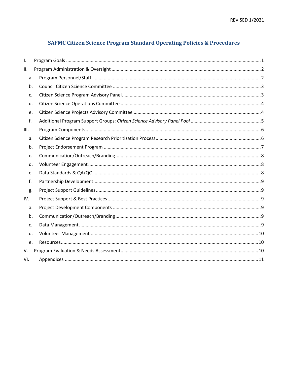# **SAFMC Citizen Science Program Standard Operating Policies & Procedures**

| I.   |    |  |
|------|----|--|
| ΙΙ.  |    |  |
|      | a. |  |
|      | b. |  |
|      | c. |  |
|      | d. |  |
|      | e. |  |
| f.   |    |  |
| III. |    |  |
|      | a. |  |
|      | b. |  |
|      | c. |  |
|      | d. |  |
|      | e. |  |
| f.   |    |  |
| g.   |    |  |
| IV.  |    |  |
|      | a. |  |
|      | b. |  |
| c.   |    |  |
|      | d. |  |
|      | e. |  |
| V.   |    |  |
| VI.  |    |  |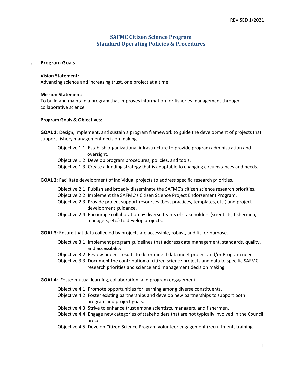# **SAFMC Citizen Science Program Standard Operating Policies & Procedures**

# <span id="page-2-0"></span>**I. Program Goals**

#### **Vision Statement:**

Advancing science and increasing trust, one project at a time

#### **Mission Statement:**

To build and maintain a program that improves information for fisheries management through collaborative science

#### **Program Goals & Objectives:**

**GOAL 1**: Design, implement, and sustain a program framework to guide the development of projects that support fishery management decision making.

Objective 1.1: Establish organizational infrastructure to provide program administration and oversight.

Objective 1.2: Develop program procedures, policies, and tools.

Objective 1.3: Create a funding strategy that is adaptable to changing circumstances and needs.

**GOAL 2**: Facilitate development of individual projects to address specific research priorities.

Objective 2.1: Publish and broadly disseminate the SAFMC's citizen science research priorities.

- Objective 2.2: Implement the SAFMC's Citizen Science Project Endorsement Program.
- Objective 2.3: Provide project support resources (best practices, templates, etc.) and project development guidance.
- Objective 2.4: Encourage collaboration by diverse teams of stakeholders (scientists, fishermen, managers, etc.) to develop projects.

**GOAL 3**: Ensure that data collected by projects are accessible, robust, and fit for purpose.

- Objective 3.1: Implement program guidelines that address data management, standards, quality, and accessibility.
- Objective 3.2: Review project results to determine if data meet project and/or Program needs.
- Objective 3.3: Document the contribution of citizen science projects and data to specific SAFMC research priorities and science and management decision making.
- **GOAL 4**: Foster mutual learning, collaboration, and program engagement.
	- Objective 4.1: Promote opportunities for learning among diverse constituents.
	- Objective 4.2: Foster existing partnerships and develop new partnerships to support both program and project goals.
	- Objective 4.3: Strive to enhance trust among scientists, managers, and fishermen.
	- Objective 4.4: Engage new categories of stakeholders that are not typically involved in the Council process.
	- Objective 4.5: Develop Citizen Science Program volunteer engagement (recruitment, training,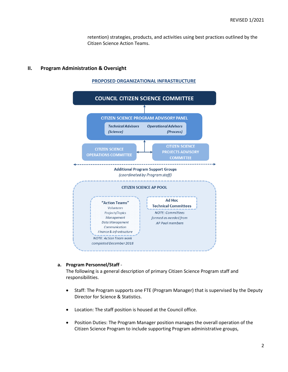retention) strategies, products, and activities using best practices outlined by the Citizen Science Action Teams.

#### <span id="page-3-0"></span>**II. Program Administration & Oversight**





#### <span id="page-3-1"></span>**a. Program Personnel/Staff** -

The following is a general description of primary Citizen Science Program staff and responsibilities.

- Staff: The Program supports one FTE (Program Manager) that is supervised by the Deputy Director for Science & Statistics.
- Location: The staff position is housed at the Council office.
- Position Duties: The Program Manager position manages the overall operation of the Citizen Science Program to include supporting Program administrative groups,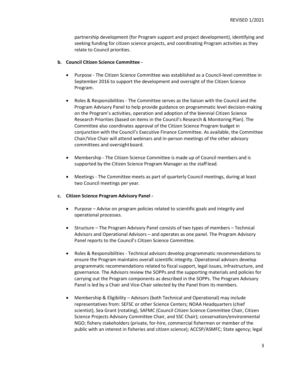partnership development (for Program support and project development), identifying and seeking funding for citizen science projects, and coordinating Program activities as they relate to Council priorities.

# <span id="page-4-0"></span>**b. Council Citizen Science Committee -**

- Purpose The Citizen Science Committee was established as a Council-level committee in September 2016 to support the development and oversight of the Citizen Science Program.
- Roles & Responsibilities The Committee serves as the liaison with the Council and the Program Advisory Panel to help provide guidance on programmatic level decision-making on the Program's activities, operation and adoption of the biennial Citizen Science Research Priorities (based on items in the Council's Research & Monitoring Plan). The Committee also coordinates approval of the Citizen Science Program budget in conjunction with the Council's Executive Finance Committee. As available, the Committee Chair/Vice Chair will attend webinars and in-person meetings of the other advisory committees and oversight board.
- Membership The Citizen Science Committee is made up of Council members and is supported by the Citizen Science Program Manager as the staff lead.
- Meetings The Committee meets as part of quarterly Council meetings, during at least two Council meetings per year.

#### <span id="page-4-1"></span>**c. Citizen Science Program Advisory Panel -**

- Purpose Advise on program policies related to scientific goals and integrity and operational processes.
- Structure The Program Advisory Panel consists of two types of members Technical Advisors and Operational Advisors – and operates as one panel. The Program Advisory Panel reports to the Council's Citizen Science Committee.
- Roles & Responsibilities Technical advisors develop programmatic recommendations to ensure the Program maintains overall scientific integrity. Operational advisors develop programmatic recommendations related to fiscal support, legal issues, infrastructure, and governance. The Advisors review the SOPPs and the supporting materials and policies for carrying out the Program components as described in the SOPPs. The Program Advisory Panel is led by a Chair and Vice-Chair selected by the Panel from its members.
- Membership & Eligibility Advisors (both Technical and Operational) may include representatives from: SEFSC or other Science Centers; NOAA Headquarters (chief scientist), Sea Grant (rotating), SAFMC (Council Citizen Science Committee Chair, Citizen Science Projects Advisory Committee Chair, and SSC Chair); conservation/environmental NGO; fishery stakeholders (private, for-hire, commercial fishermen or member of the public with an interest in fisheries and citizen science); ACCSP/ASMFC; State agency; legal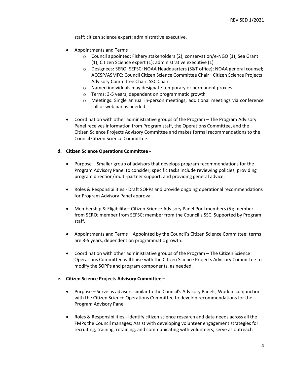staff; citizen science expert; administrative executive.

- Appointments and Terms
	- o Council appointed: Fishery stakeholders (2); conservation/e-NGO (1); Sea Grant (1); Citizen Science expert (1); administrative executive (1)
	- o Designees: SERO; SEFSC; NOAA Headquarters (S&T office); NOAA general counsel; ACCSP/ASMFC; Council Citizen Science Committee Chair ; Citizen Science Projects Advisory Committee Chair; SSC Chair
	- o Named individuals may designate temporary or permanent proxies
	- o Terms: 3-5 years, dependent on programmatic growth
	- o Meetings: Single annual in-person meetings; additional meetings via conference call or webinar as needed.
- Coordination with other administrative groups of the Program The Program Advisory Panel receives information from Program staff, the Operations Committee, and the Citizen Science Projects Advisory Committee and makes formal recommendations to the Council Citizen Science Committee.

## <span id="page-5-0"></span>**d. Citizen Science Operations Committee -**

- Purpose Smaller group of advisors that develops program recommendations for the Program Advisory Panel to consider; specific tasks include reviewing policies, providing program direction/multi-partner support, and providing general advice.
- Roles & Responsibilities Draft SOPPs and provide ongoing operational recommendations for Program Advisory Panel approval.
- Membership & Eligibility Citizen Science Advisory Panel Pool members (5); member from SERO; member from SEFSC; member from the Council's SSC. Supported by Program staff.
- Appointments and Terms Appointed by the Council's Citizen Science Committee; terms are 3-5 years, dependent on programmatic growth.
- Coordination with other administrative groups of the Program The Citizen Science Operations Committee will liaise with the Citizen Science Projects Advisory Committee to modify the SOPPs and program components, as needed.

#### <span id="page-5-1"></span>**e. Citizen Science Projects Advisory Committee –**

- Purpose Serve as advisors similar to the Council's Advisory Panels; Work in conjunction with the Citizen Science Operations Committee to develop recommendations for the Program Advisory Panel
- Roles & Responsibilities Identify citizen science research and data needs across all the FMPs the Council manages; Assist with developing volunteer engagement strategies for recruiting, training, retaining, and communicating with volunteers; serve as outreach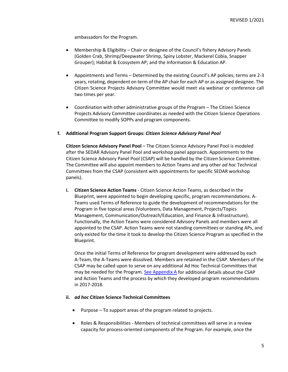ambassadors for the Program.

- Membership & Eligibility Chair or designee of the Council's fishery Advisory Panels (Golden Crab, Shrimp/Deepwater Shrimp, Spiny Lobster, Mackerel Cobia, Snapper Grouper); Habitat & Ecosystem AP; and the Information & Education AP.
- Appointments and Terms Determined by the existing Council's AP policies; terms are 2-3 years, rotating, dependent on term of the AP chair for each AP or as assigned designee. The Citizen Science Projects Advisory Committee would meet via webinar or conference call two times per year.
- Coordination with other administrative groups of the Program The Citizen Science Projects Advisory Committee coordinates as needed with the Citizen Science Operations Committee to modify SOPPs and program components.

## <span id="page-6-0"></span>**f. Additional Program Support Groups:** *Citizen Science Advisory Panel Pool*

**Citizen Science Advisory Panel Pool** – The Citizen Science Advisory Panel Pool is modeled after the SEDAR Advisory Panel Pool and workshop panel approach. Appointments to the Citizen Science Advisory Panel Pool (CSAP) will be handled by the Citizen Science Committee. The Committee will also appoint members to Action Teams and any other *ad hoc* Technical Committees from the CSAP (consistent with appointments for specific SEDAR workshop panels).

**i. Citizen Science Action Teams** - Citizen Science Action Teams, as described in the Blueprint, were appointed to begin developing specific, program recommendations. A-Teams used Terms of Reference to guide the development of recommendations for the Program in five topical areas (Volunteers, Data Management, Projects/Topics Management, Communication/Outreach/Education, and Finance & Infrastructure). Functionally, the Action Teams were considered Advisory Panels and members were all appointed to the CSAP. Action Teams were not standing committees or standing APs, and only existed for the time it took to develop the Citizen Science Program as specified in the Blueprint.

Once the initial Terms of Reference for program development were addressed by each A-Team, the A-Teams were dissolved. Members are retained in the CSAP. Members of the CSAP may be called upon to serve on any additional Ad Hoc Technical Committees that may be needed for the Program[. See Appendix A](#page-12-0) for additional details about the CSAP and Action Teams and the process by which they developed program recommendations in 2017-2018.

#### **ii.** *ad hoc* **Citizen Science Technical Committees**

- Purpose To support areas of the program related to projects.
- Roles & Responsibilities Members of technical committees will serve in a review capacity for process-oriented components of the Program. For example, once the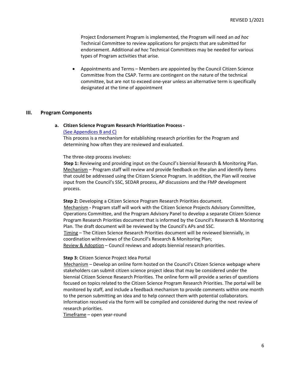Project Endorsement Program is implemented, the Program will need an *ad hoc*  Technical Committee to review applications for projects that are submitted for endorsement. Additional *ad hoc* Technical Committees may be needed for various types of Program activities that arise.

• Appointments and Terms – Members are appointed by the Council Citizen Science Committee from the CSAP. Terms are contingent on the nature of the technical committee, but are not to exceed one-year unless an alternative term is specifically designated at the time of appointment

#### <span id="page-7-1"></span><span id="page-7-0"></span>**III. Program Components**

#### **a. Citizen Science Program Research Prioritization Process -**

#### [\(See Appendices B and C\)](#page-12-0)

This process is a mechanism for establishing research priorities for the Program and determining how often they are reviewed and evaluated.

The three-step process involves:

**Step 1:** Reviewing and providing input on the Council's biennial Research & Monitoring Plan. Mechanism – Program staff will review and provide feedback on the plan and identify items that could be addressed using the Citizen Science Program. In addition, the Plan will receive input from the Council's SSC, SEDAR process, AP discussions and the FMP development process.

**Step 2:** Developing a Citizen Science Program Research Priorities document. Mechanism **-** Program staff will work with the Citizen Science Projects Advisory Committee, Operations Committee, and the Program Advisory Panel to develop a separate Citizen Science Program Research Priorities document that is informed by the Council's Research & Monitoring Plan. The draft document will be reviewed by the Council's APs and SSC. Timing – The Citizen Science Research Priorities document will be reviewed biennially, in coordination withreviews of the Council's Research & Monitoring Plan; Review & Adoption – Council reviews and adopts biennial research priorities.

#### **Step 3:** Citizen Science Project Idea Portal

Mechanism – Develop an online form hosted on the Council's Citizen Science webpage where stakeholders can submit citizen science project ideas that may be considered under the biennial Citizen Science Research Priorities. The online form will provide a series of questions focused on topics related to the Citizen Science Program Research Priorities. The portal will be monitored by staff, and include a feedback mechanism to provide comments within one month to the person submitting an idea and to help connect them with potential collaborators. Information received via the form will be compiled and considered during the next review of research priorities.

Timeframe – open year-round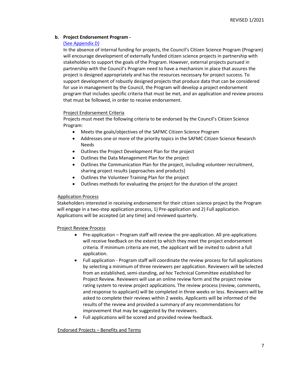# <span id="page-8-0"></span>**b. Project Endorsement Program -**

# [\(See Appendix D\)](#page-12-0)

In the absence of internal funding for projects, the Council's Citizen Science Program (Program) will encourage development of externally funded citizen science projects in partnership with stakeholders to support the goals of the Program. However, external projects pursued in partnership with the Council's Program need to have a mechanism in place that assures the project is designed appropriately and has the resources necessary for project success. To support development of robustly designed projects that produce data that can be considered for use in management by the Council, the Program will develop a project endorsement program that includes specific criteria that must be met, and an application and review process that must be followed, in order to receive endorsement.

## Project Endorsement Criteria

Projects must meet the following criteria to be endorsed by the Council's Citizen Science Program:

- Meets the goals/objectives of the SAFMC Citizen Science Program
- Addresses one or more of the priority topics in the SAFMC Citizen Science Research Needs
- Outlines the Project Development Plan for the project
- Outlines the Data Management Plan for the project
- Outlines the Communication Plan for the project, including volunteer recruitment, sharing project results (approaches and products)
- Outlines the Volunteer Training Plan for the project
- Outlines methods for evaluating the project for the duration of the project

# Application Process

Stakeholders interested in receiving endorsement for their citizen science project by the Program will engage in a two-step application process, 1) Pre-application and 2) Full application. Applications will be accepted (at any time) and reviewed quarterly.

Project Review Process

- Pre-application Program staff will review the pre-application. All pre-applications will receive feedback on the extent to which they meet the project endorsement criteria. If minimum criteria are met, the applicant will be invited to submit a full application.
- Full application Program staff will coordinate the review process for full applications by selecting a minimum of three reviewers per application. Reviewers will be selected from an established, semi-standing, *ad hoc* Technical Committee established for Project Review. Reviewers will use an online review form and the project review rating system to review project applications. The review process (review, comments, and response to applicant) will be completed in three weeks or less. Reviewers will be asked to complete their reviews within 2 weeks. Applicants will be informed of the results of the review and provided a summary of any recommendations for improvement that may be suggested by the reviewers.
- Full applications will be scored and provided review feedback.

# Endorsed Projects – Benefits and Terms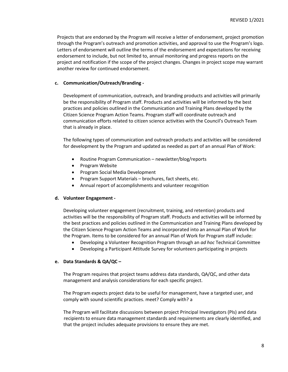Projects that are endorsed by the Program will receive a letter of endorsement, project promotion through the Program's outreach and promotion activities, and approval to use the Program's logo. Letters of endorsement will outline the terms of the endorsement and expectations for receiving endorsement to include, but not limited to, annual monitoring and progress reports on the project and notification if the scope of the project changes. Changes in project scope may warrant another review for continued endorsement.

#### <span id="page-9-0"></span>**c. Communication/Outreach/Branding -**

Development of communication, outreach, and branding products and activities will primarily be the responsibility of Program staff. Products and activities will be informed by the best practices and policies outlined in the Communication and Training Plans developed by the Citizen Science Program Action Teams. Program staff will coordinate outreach and communication efforts related to citizen science activities with the Council's Outreach Team that is already in place.

The following types of communication and outreach products and activities will be considered for development by the Program and updated as needed as part of an annual Plan of Work:

- Routine Program Communication newsletter/blog/reports
- Program Website
- Program Social Media Development
- Program Support Materials brochures, fact sheets, etc.
- Annual report of accomplishments and volunteer recognition

# <span id="page-9-1"></span>**d. Volunteer Engagement -**

Developing volunteer engagement (recruitment, training, and retention) products and activities will be the responsibility of Program staff. Products and activities will be informed by the best practices and policies outlined in the Communication and Training Plans developed by the Citizen Science Program Action Teams and incorporated into an annual Plan of Work for the Program. Items to be considered for an annual Plan of Work for Program staff include:

- Developing a Volunteer Recognition Program through an *ad hoc* Technical Committee
- Developing a Participant Attitude Survey for volunteers participating in projects

# <span id="page-9-2"></span>**e. Data Standards & QA/QC –**

The Program requires that project teams address data standards, QA/QC, and other data management and analysis considerations for each specific project.

The Program expects project data to be useful for management, have a targeted user, and comply with sound scientific practices. meet? Comply with? a

The Program will facilitate discussions between project Principal Investigators (PIs) and data recipients to ensure data management standards and requirements are clearly identified, and that the project includes adequate provisions to ensure they are met.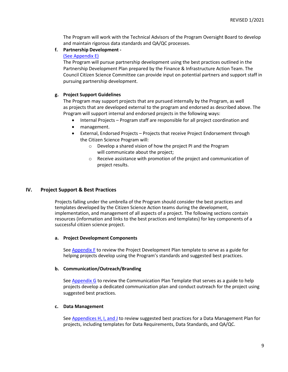The Program will work with the Technical Advisors of the Program Oversight Board to develop and maintain rigorous data standards and QA/QC processes.

# <span id="page-10-0"></span>**f. Partnership Development -**

## [\(See Appendix E\)](#page-12-0)

The Program will pursue partnership development using the best practices outlined in the Partnership Development Plan prepared by the Finance & Infrastructure Action Team. The Council Citizen Science Committee can provide input on potential partners and support staff in pursuing partnership development.

# <span id="page-10-1"></span>**g. Project Support Guidelines**

The Program may support projects that are pursued internally by the Program, as well as projects that are developed external to the program and endorsed as described above. The Program will support internal and endorsed projects in the following ways:

- Internal Projects Program staff are responsible for all project coordination and
- management.
- External, Endorsed Projects Projects that receive Project Endorsement through the Citizen Science Program will:
	- o Develop a shared vision of how the project PI and the Program will communicate about the project;
	- o Receive assistance with promotion of the project and communication of project results.

# <span id="page-10-2"></span>**IV. Project Support & Best Practices**

Projects falling under the umbrella of the Program should consider the best practices and templates developed by the Citizen Science Action teams during the development, implementation, and management of all aspects of a project. The following sections contain resources (information and links to the best practices and templates) for key components of a successful citizen science project.

#### <span id="page-10-3"></span>**a. Project Development Components**

See  $Appendix F$  to review the Project Development Plan template to serve as a guide for helping projects develop using the Program's standards and suggested best practices.

#### <span id="page-10-4"></span>**b. Communication/Outreach/Branding**

See [Appendix G](#page-12-0) to review the Communication Plan Template that serves as a guide to help projects develop a dedicated communication plan and conduct outreach for the project using suggested best practices.

#### <span id="page-10-5"></span>**c. Data Management**

See [Appendices H, I, and J](#page-12-0) to review suggested best practices for a Data Management Plan for projects, including templates for Data Requirements, Data Standards, and QA/QC.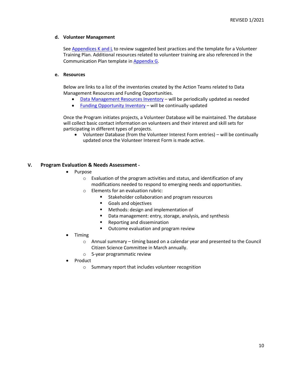## <span id="page-11-0"></span>**d. Volunteer Management**

See [Appendices K and L](#page-12-0) to review suggested best practices and the template for a Volunteer Training Plan. Additional resources related to volunteer training are also referenced in the Communication Plan template in [Appendix G.](#page-12-0)

### <span id="page-11-1"></span>**e. Resources**

Below are links to a list of the inventories created by the Action Teams related to Data Management Resources and Funding Opportunities.

- [Data Management Resources Inventory](https://docs.google.com/spreadsheets/d/1-kLbpTR903mvJgWIeW5yBCLgXMsnwqg7RXCtR0GCugE/edit#gid%3D1230891919) will be periodically updated as needed
- [Funding Opportunity Inventory](https://docs.google.com/spreadsheets/d/1AZSqcpxgXu03fwVH_nhMCv3WPVh062UHxJLMPX4WfTs/edit?usp=sharing) will be continually updated

Once the Program initiates projects, a Volunteer Database will be maintained. The database will collect basic contact information on volunteers and their interest and skill sets for participating in different types of projects.

• Volunteer Database (from the Volunteer Interest Form entries) – will be continually updated once the Volunteer Interest Form is made active.

# <span id="page-11-2"></span>**V. Program Evaluation & Needs Assessment -**

- Purpose
	- o Evaluation of the program activities and status, and identification of any modifications needed to respond to emerging needs and opportunities.
	- o Elements for an evaluation rubric:
		- **Stakeholder collaboration and program resources**
		- Goals and objectives
		- **Methods: design and implementation of**
		- Data management: entry, storage, analysis, and synthesis
		- **Reporting and dissemination**
		- **Dutcome evaluation and program review**
- Timing
	- $\circ$  Annual summary timing based on a calendar year and presented to the Council Citizen Science Committee in March annually.
	- o 5-year programmatic review
- Product
	- o Summary report that includes volunteer recognition